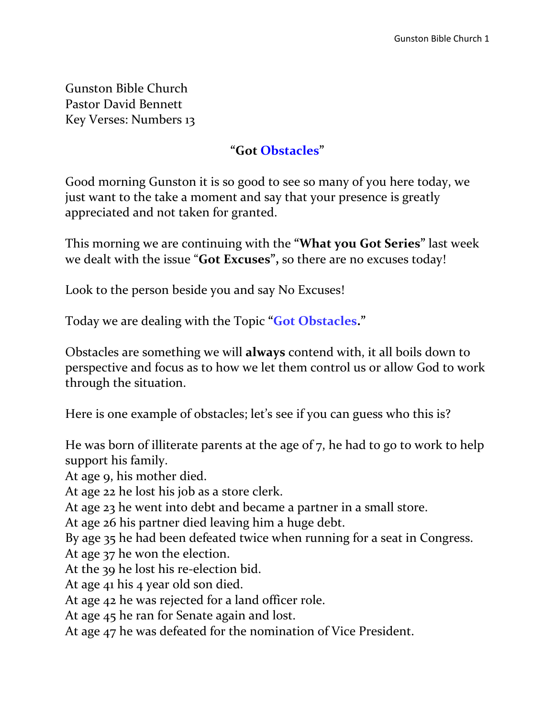Gunston Bible Church Pastor David Bennett Key Verses: Numbers 13

#### **"Got Obstacles"**

Good morning Gunston it is so good to see so many of you here today, we just want to the take a moment and say that your presence is greatly appreciated and not taken for granted.

This morning we are continuing with the **"What you Got Series"** last week we dealt with the issue "**Got Excuses",** so there are no excuses today!

Look to the person beside you and say No Excuses!

Today we are dealing with the Topic **"Got Obstacles."**

Obstacles are something we will **always** contend with, it all boils down to perspective and focus as to how we let them control us or allow God to work through the situation.

Here is one example of obstacles; let's see if you can guess who this is?

He was born of illiterate parents at the age of 7, he had to go to work to help support his family.

At age 9, his mother died.

At age 22 he lost his job as a store clerk.

At age 23 he went into debt and became a partner in a small store.

At age 26 his partner died leaving him a huge debt.

By age 35 he had been defeated twice when running for a seat in Congress.

At age 37 he won the election.

At the 39 he lost his re-election bid.

At age 41 his 4 year old son died.

At age 42 he was rejected for a land officer role.

At age 45 he ran for Senate again and lost.

At age 47 he was defeated for the nomination of Vice President.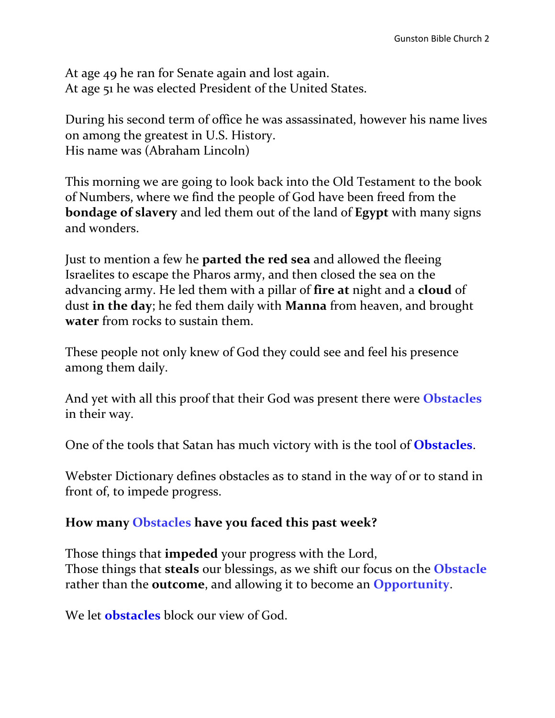At age 49 he ran for Senate again and lost again. At age 51 he was elected President of the United States.

During his second term of office he was assassinated, however his name lives on among the greatest in U.S. History. His name was (Abraham Lincoln)

This morning we are going to look back into the Old Testament to the book of Numbers, where we find the people of God have been freed from the **bondage of slavery** and led them out of the land of **Egypt** with many signs and wonders.

Just to mention a few he **parted the red sea** and allowed the fleeing Israelites to escape the Pharos army, and then closed the sea on the advancing army. He led them with a pillar of **fire at** night and a **cloud** of dust **in the day**; he fed them daily with **Manna** from heaven, and brought **water** from rocks to sustain them.

These people not only knew of God they could see and feel his presence among them daily.

And yet with all this proof that their God was present there were **Obstacles** in their way.

One of the tools that Satan has much victory with is the tool of **Obstacles**.

Webster Dictionary defines obstacles as to stand in the way of or to stand in front of, to impede progress.

#### **How many Obstacles have you faced this past week?**

Those things that **impeded** your progress with the Lord, Those things that **steals** our blessings, as we shift our focus on the **Obstacle** rather than the **outcome**, and allowing it to become an **Opportunity**.

We let **obstacles** block our view of God.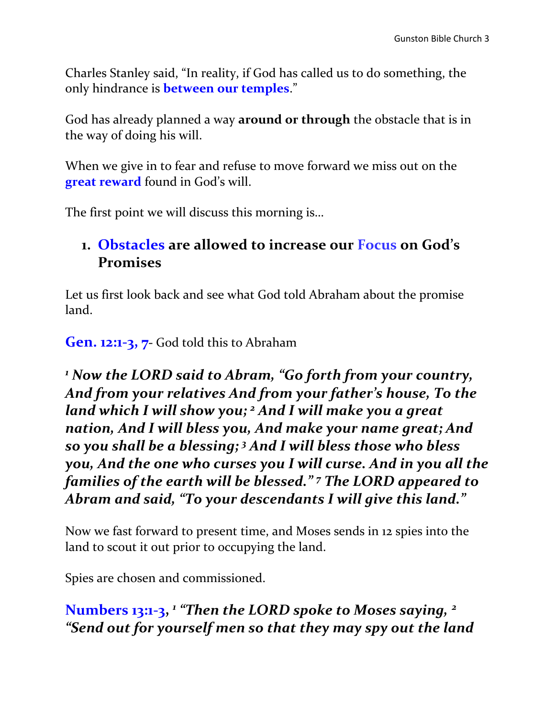Charles Stanley said, "In reality, if God has called us to do something, the only hindrance is **between our temples**."

God has already planned a way **around or through** the obstacle that is in the way of doing his will.

When we give in to fear and refuse to move forward we miss out on the **great reward** found in God's will.

The first point we will discuss this morning is…

## **1. Obstacles are allowed to increase our Focus on God's Promises**

Let us first look back and see what God told Abraham about the promise land.

**Gen. 12:1-3, 7-** God told this to Abraham

*<sup>1</sup> Now the LORD said to Abram, "Go forth from your country, And from your relatives And from your father's house, To the land which I will show you; <sup>2</sup> And I will make you a great nation, And I will bless you, And make your name great; And so you shall be a blessing; <sup>3</sup> And I will bless those who bless you, And the one who curses you I will curse. And in you all the families of the earth will be blessed." <sup>7</sup> The LORD appeared to Abram and said, "To your descendants I will give this land."* 

Now we fast forward to present time, and Moses sends in 12 spies into the land to scout it out prior to occupying the land.

Spies are chosen and commissioned.

**Numbers 13:1-3,**  *1 "Then the LORD spoke to Moses saying, <sup>2</sup> "Send out for yourself men so that they may spy out the land*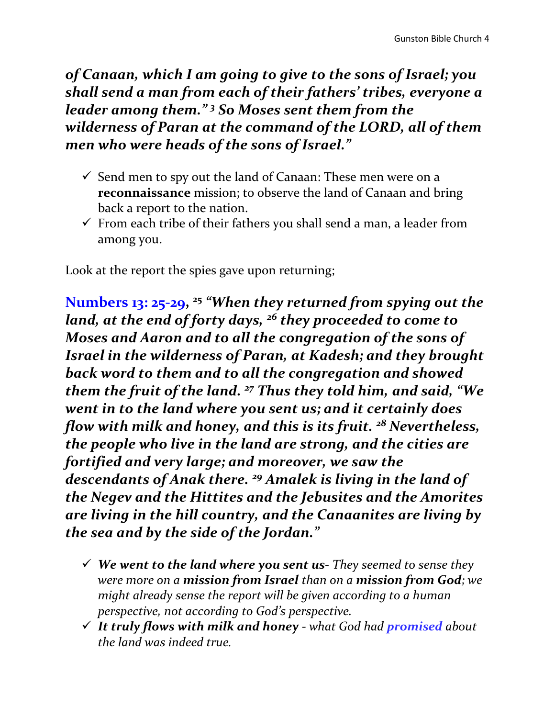*of Canaan, which I am going to give to the sons of Israel; you shall send a man from each of their fathers' tribes, everyone a leader among them." <sup>3</sup> So Moses sent them from the wilderness of Paran at the command of the LORD, all of them men who were heads of the sons of Israel."*

- $\checkmark$  Send men to spy out the land of Canaan: These men were on a **reconnaissance** mission; to observe the land of Canaan and bring back a report to the nation.
- $\checkmark$  From each tribe of their fathers you shall send a man, a leader from among you.

Look at the report the spies gave upon returning;

**Numbers 13: 25-29, 25** *"When they returned from spying out the land, at the end of forty days, <sup>26</sup> they proceeded to come to Moses and Aaron and to all the congregation of the sons of Israel in the wilderness of Paran, at Kadesh; and they brought back word to them and to all the congregation and showed them the fruit of the land. <sup>27</sup> Thus they told him, and said, "We went in to the land where you sent us; and it certainly does flow with milk and honey, and this is its fruit. <sup>28</sup> Nevertheless, the people who live in the land are strong, and the cities are fortified and very large; and moreover, we saw the descendants of Anak there. <sup>29</sup> Amalek is living in the land of the Negev and the Hittites and the Jebusites and the Amorites are living in the hill country, and the Canaanites are living by the sea and by the side of the Jordan."*

- *We went to the land where you sent us- They seemed to sense they were more on a mission from Israel than on a mission from God; we might already sense the report will be given according to a human perspective, not according to God's perspective.*
- *It truly flows with milk and honey - what God had promised about the land was indeed true.*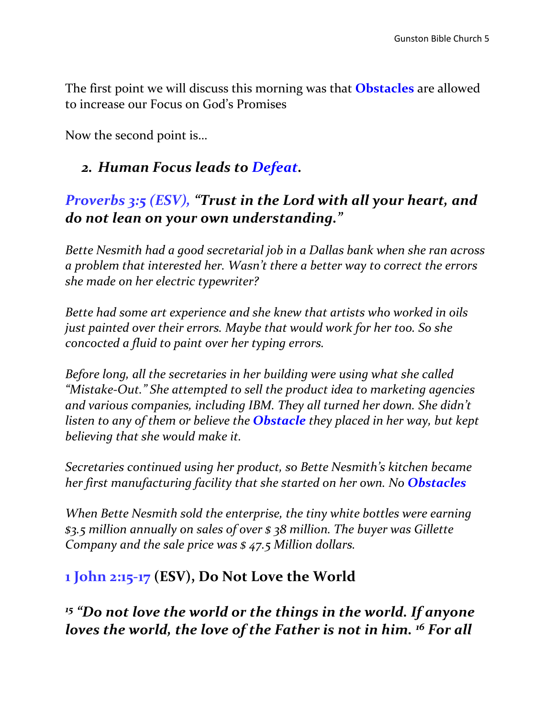The first point we will discuss this morning was that **Obstacles** are allowed to increase our Focus on God's Promises

Now the second point is…

#### *2. Human Focus leads to Defeat.*

### *Proverbs 3:5 (ESV), "Trust in the Lord with all your heart, and do not lean on your own understanding."*

*Bette Nesmith had a good secretarial job in a Dallas bank when she ran across a problem that interested her. Wasn't there a better way to correct the errors she made on her electric typewriter?* 

*Bette had some art experience and she knew that artists who worked in oils just painted over their errors. Maybe that would work for her too. So she concocted a fluid to paint over her typing errors.* 

*Before long, all the secretaries in her building were using what she called "Mistake-Out." She attempted to sell the product idea to marketing agencies and various companies, including IBM. They all turned her down. She didn't listen to any of them or believe the Obstacle they placed in her way, but kept believing that she would make it.* 

*Secretaries continued using her product, so Bette Nesmith's kitchen became her first manufacturing facility that she started on her own. No Obstacles*

*When Bette Nesmith sold the enterprise, the tiny white bottles were earning \$3.5 million annually on sales of over \$ 38 million. The buyer was Gillette Company and the sale price was \$ 47.5 Million dollars.* 

# **1 John 2:15-17 (ESV), Do Not Love the World**

*<sup>15</sup> "Do not love the world or the things in the world. If anyone loves the world, the love of the Father is not in him. <sup>16</sup> For all*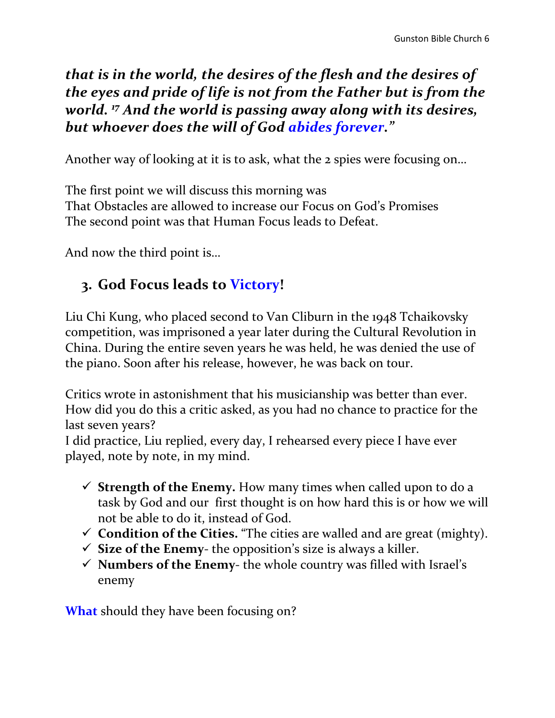*that is in the world, the desires of the flesh and the desires of the eyes and pride of life is not from the Father but is from the world. <sup>17</sup> And the world is passing away along with its desires, but whoever does the will of God abides forever."*

Another way of looking at it is to ask, what the 2 spies were focusing on…

The first point we will discuss this morning was That Obstacles are allowed to increase our Focus on God's Promises The second point was that Human Focus leads to Defeat.

And now the third point is…

# **3. God Focus leads to Victory!**

Liu Chi Kung, who placed second to Van Cliburn in the 1948 Tchaikovsky competition, was imprisoned a year later during the Cultural Revolution in China. During the entire seven years he was held, he was denied the use of the piano. Soon after his release, however, he was back on tour.

Critics wrote in astonishment that his musicianship was better than ever. How did you do this a critic asked, as you had no chance to practice for the last seven years?

I did practice, Liu replied, every day, I rehearsed every piece I have ever played, note by note, in my mind.

- $\checkmark$  **Strength of the Enemy.** How many times when called upon to do a task by God and our first thought is on how hard this is or how we will not be able to do it, instead of God.
- **Condition of the Cities.** "The cities are walled and are great (mighty).
- $\checkmark$  **Size of the Enemy-** the opposition's size is always a killer.
- $\checkmark$  **Numbers of the Enemy-** the whole country was filled with Israel's enemy

**What** should they have been focusing on?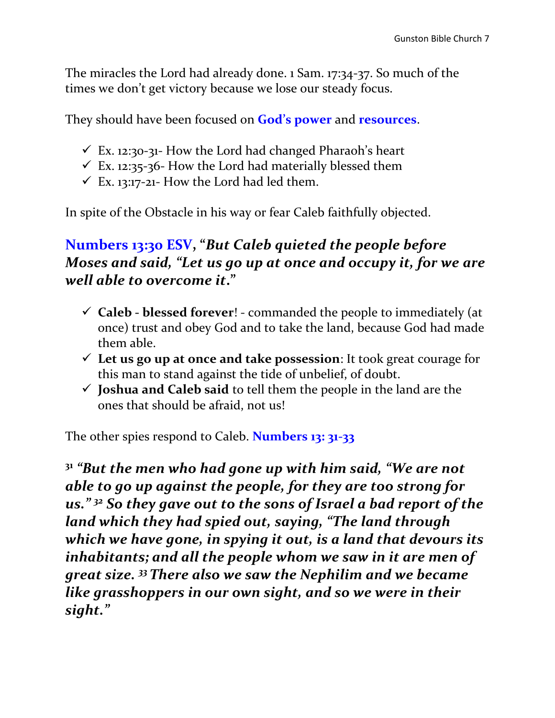The miracles the Lord had already done. 1 Sam. 17:34-37. So much of the times we don't get victory because we lose our steady focus.

They should have been focused on **God's power** and **resources**.

- $\checkmark$  Ex. 12:30-31- How the Lord had changed Pharaoh's heart
- $\checkmark$  Ex. 12:35-36- How the Lord had materially blessed them
- $\checkmark$  Ex. 13:17-21- How the Lord had led them.

In spite of the Obstacle in his way or fear Caleb faithfully objected.

# **Numbers 13:30 ESV, "***But Caleb quieted the people before Moses and said, "Let us go up at once and occupy it, for we are well able to overcome it***."**

- **Caleb - blessed forever**! commanded the people to immediately (at once) trust and obey God and to take the land, because God had made them able.
- **Let us go up at once and take possession**: It took great courage for this man to stand against the tide of unbelief, of doubt.
- $\checkmark$  **Joshua and Caleb said** to tell them the people in the land are the ones that should be afraid, not us!

The other spies respond to Caleb. **Numbers 13: 31-33**

**31** *"But the men who had gone up with him said, "We are not able to go up against the people, for they are too strong for us." <sup>32</sup> So they gave out to the sons of Israel a bad report of the land which they had spied out, saying, "The land through which we have gone, in spying it out, is a land that devours its inhabitants; and all the people whom we saw in it are men of great size. <sup>33</sup>There also we saw the Nephilim and we became like grasshoppers in our own sight, and so we were in their sight."*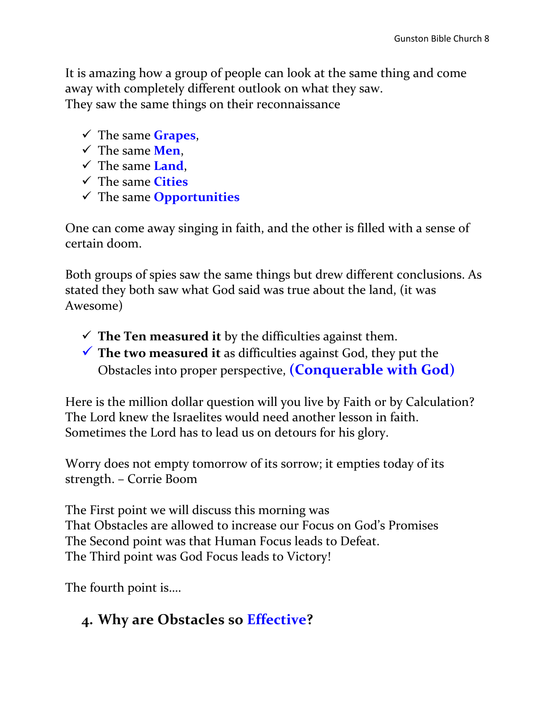It is amazing how a group of people can look at the same thing and come away with completely different outlook on what they saw. They saw the same things on their reconnaissance

- The same **Grapes**,
- The same **Men**,
- The same **Land**,
- The same **Cities**
- The same **Opportunities**

One can come away singing in faith, and the other is filled with a sense of certain doom.

Both groups of spies saw the same things but drew different conclusions. As stated they both saw what God said was true about the land, (it was Awesome)

- $\checkmark$  The Ten measured it by the difficulties against them.
- **The two measured it** as difficulties against God, they put the Obstacles into proper perspective, **(Conquerable with God)**

Here is the million dollar question will you live by Faith or by Calculation? The Lord knew the Israelites would need another lesson in faith. Sometimes the Lord has to lead us on detours for his glory.

Worry does not empty tomorrow of its sorrow; it empties today of its strength. – Corrie Boom

The First point we will discuss this morning was That Obstacles are allowed to increase our Focus on God's Promises The Second point was that Human Focus leads to Defeat. The Third point was God Focus leads to Victory!

The fourth point is….

# **4. Why are Obstacles so Effective?**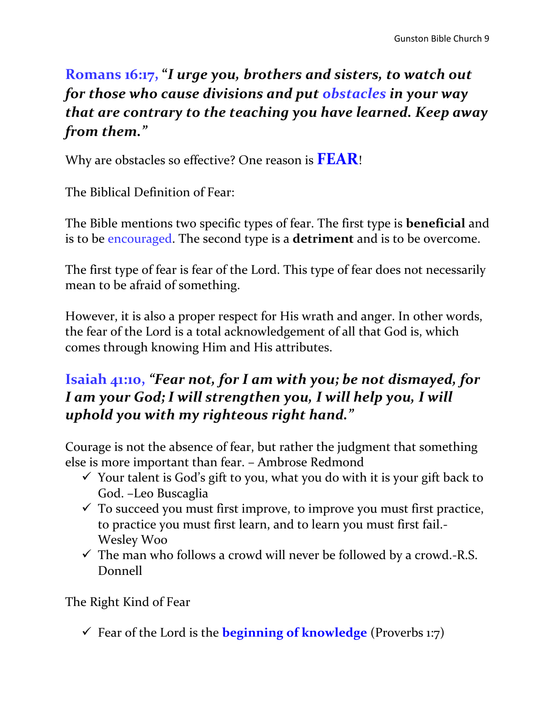# **Romans 16:17, "***I urge you, brothers and sisters, to watch out for those who cause divisions and put obstacles in your way that are contrary to the teaching you have learned. Keep away from them."*

Why are obstacles so effective? One reason is **FEAR**!

The Biblical Definition of Fear:

The Bible mentions two specific types of fear. The first type is **beneficial** and is to be encouraged. The second type is a **detriment** and is to be overcome.

The first type of fear is fear of the Lord. This type of fear does not necessarily mean to be afraid of something.

However, it is also a proper respect for His wrath and anger. In other words, the fear of the Lord is a total acknowledgement of all that God is, which comes through knowing Him and His attributes.

# **Isaiah 41:10,** *"Fear not, for I am with you; be not dismayed, for I am your God; I will strengthen you, I will help you, I will uphold you with my righteous right hand."*

Courage is not the absence of fear, but rather the judgment that something else is more important than fear. – Ambrose Redmond

- $\checkmark$  Your talent is God's gift to you, what you do with it is your gift back to God. –Leo Buscaglia
- $\checkmark$  To succeed you must first improve, to improve you must first practice, to practice you must first learn, and to learn you must first fail.- Wesley Woo
- $\checkmark$  The man who follows a crowd will never be followed by a crowd.-R.S. Donnell

The Right Kind of Fear

Fear of the Lord is the **beginning of knowledge** (Proverbs 1:7)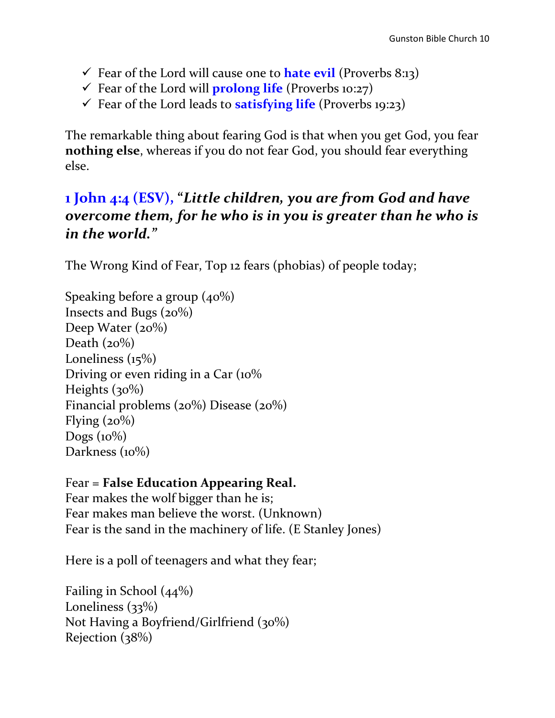- Fear of the Lord will cause one to **hate evil** (Proverbs 8:13)
- Fear of the Lord will **prolong life** (Proverbs 10:27)
- Fear of the Lord leads to **satisfying life** (Proverbs 19:23)

The remarkable thing about fearing God is that when you get God, you fear **nothing else**, whereas if you do not fear God, you should fear everything else.

# **1 John 4:4 (ESV), "***Little children, you are from God and have overcome them, for he who is in you is greater than he who is in the world."*

The Wrong Kind of Fear, Top 12 fears (phobias) of people today;

Speaking before a group (40%) Insects and Bugs (20%) Deep Water  $(20\%)$ Death  $(20\%)$ Loneliness (15%) Driving or even riding in a Car (10% Heights  $(30\%)$ Financial problems (20%) Disease (20%) Flying  $(20\%)$ Dogs  $(10\%)$ Darkness (10%)

Fear = **False Education Appearing Real.** Fear makes the wolf bigger than he is; Fear makes man believe the worst. (Unknown) Fear is the sand in the machinery of life. (E Stanley Jones)

Here is a poll of teenagers and what they fear;

Failing in School (44%) Loneliness (33%) Not Having a Boyfriend/Girlfriend (30%) Rejection (38%)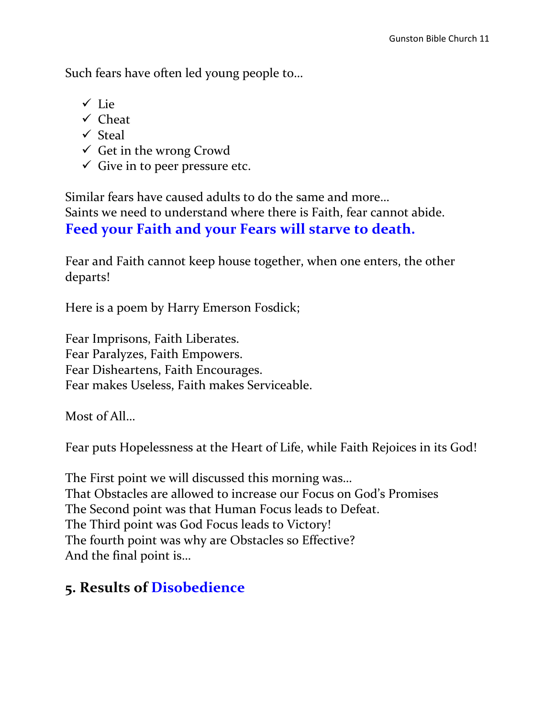Such fears have often led young people to…

- $\checkmark$  Lie
- $\checkmark$  Cheat
- $\checkmark$  Steal
- $\checkmark$  Get in the wrong Crowd
- $\checkmark$  Give in to peer pressure etc.

Similar fears have caused adults to do the same and more… Saints we need to understand where there is Faith, fear cannot abide. **Feed your Faith and your Fears will starve to death.** 

Fear and Faith cannot keep house together, when one enters, the other departs!

Here is a poem by Harry Emerson Fosdick;

Fear Imprisons, Faith Liberates. Fear Paralyzes, Faith Empowers. Fear Disheartens, Faith Encourages. Fear makes Useless, Faith makes Serviceable.

Most of All…

Fear puts Hopelessness at the Heart of Life, while Faith Rejoices in its God!

The First point we will discussed this morning was… That Obstacles are allowed to increase our Focus on God's Promises The Second point was that Human Focus leads to Defeat. The Third point was God Focus leads to Victory! The fourth point was why are Obstacles so Effective? And the final point is…

# **5. Results of Disobedience**